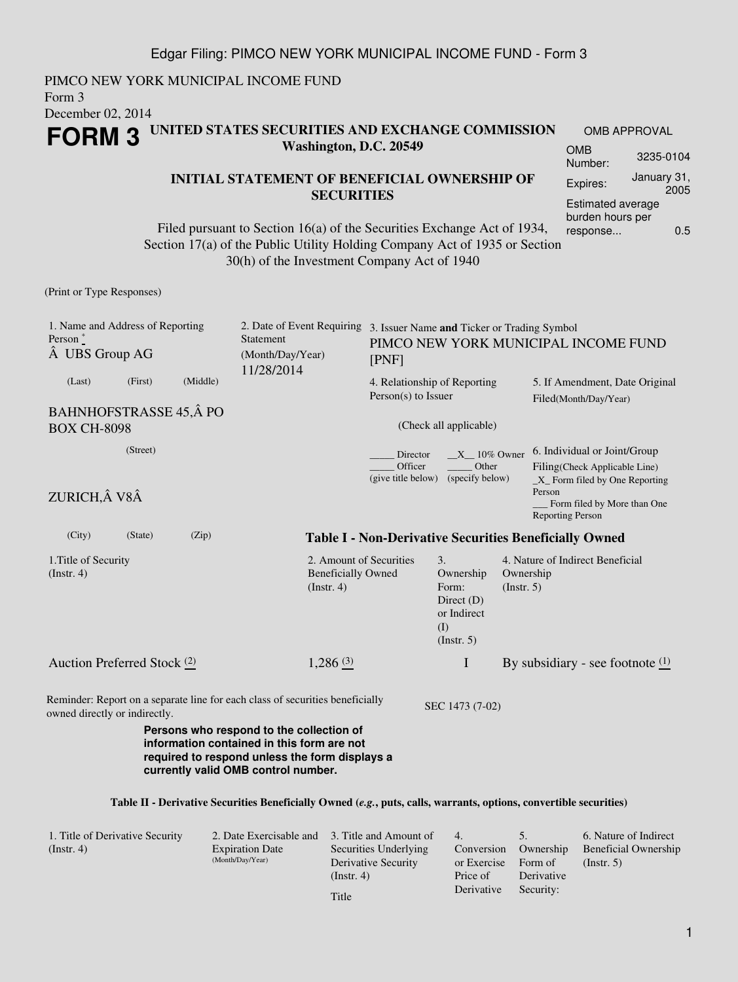PIMCO NEW YORK MUNICIPAL INCOME FUND Form 3 December 02, 2014 **FORM 3 UNITED STATES SECURITIES AND EXCHANGE COMMISSION Washington, D.C. 20549** OMB APPROVAL OMB

### **INITIAL STATEMENT OF BENEFICIAL OWNERSHIP OF SECURITIES**

Filed pursuant to Section 16(a) of the Securities Exchange Act of 1934, Section 17(a) of the Public Utility Holding Company Act of 1935 or Section 30(h) of the Investment Company Act of 1940

(Print or Type Responses)

| 1. Name and Address of Reporting<br>Person <sup>*</sup><br>A UBS Group AG                                                                                                       |         |          | Statement<br>(Month/Day/Year)<br>11/28/2014                                   | 2. Date of Event Requiring 3. Issuer Name and Ticker or Trading Symbol<br>PIMCO NEW YORK MUNICIPAL INCOME FUND<br>[PNF] |                                                                                         |                                                                               |                                                         |                                                                                                                                                                      |  |
|---------------------------------------------------------------------------------------------------------------------------------------------------------------------------------|---------|----------|-------------------------------------------------------------------------------|-------------------------------------------------------------------------------------------------------------------------|-----------------------------------------------------------------------------------------|-------------------------------------------------------------------------------|---------------------------------------------------------|----------------------------------------------------------------------------------------------------------------------------------------------------------------------|--|
| (Last)                                                                                                                                                                          | (First) | (Middle) |                                                                               |                                                                                                                         | 4. Relationship of Reporting<br>Person(s) to Issuer                                     |                                                                               | 5. If Amendment, Date Original<br>Filed(Month/Day/Year) |                                                                                                                                                                      |  |
| <b>BAHNHOFSTRASSE 45, Â PO</b><br><b>BOX CH-8098</b>                                                                                                                            |         |          |                                                                               |                                                                                                                         | (Check all applicable)                                                                  |                                                                               |                                                         |                                                                                                                                                                      |  |
| (Street)                                                                                                                                                                        |         |          |                                                                               |                                                                                                                         | Director<br>$X_10\%$ Owner<br>Other<br>Officer<br>(give title below)<br>(specify below) |                                                                               |                                                         | 6. Individual or Joint/Group<br>Filing(Check Applicable Line)<br>$X$ Form filed by One Reporting<br>Person<br>Form filed by More than One<br><b>Reporting Person</b> |  |
| ZURICH, V8Â                                                                                                                                                                     |         |          |                                                                               |                                                                                                                         |                                                                                         |                                                                               |                                                         |                                                                                                                                                                      |  |
| (City)                                                                                                                                                                          | (State) | (Zip)    |                                                                               |                                                                                                                         |                                                                                         |                                                                               |                                                         | <b>Table I - Non-Derivative Securities Beneficially Owned</b>                                                                                                        |  |
| 1. Title of Security<br>$($ Instr. 4 $)$                                                                                                                                        |         |          |                                                                               | 2. Amount of Securities<br><b>Beneficially Owned</b><br>$($ Instr. 4 $)$                                                |                                                                                         | 3.<br>Ownership<br>Form:<br>Direct $(D)$<br>or Indirect<br>(I)<br>(Insert. 5) | Ownership<br>(Insert. 5)                                | 4. Nature of Indirect Beneficial                                                                                                                                     |  |
| Auction Preferred Stock (2)                                                                                                                                                     |         |          |                                                                               | 1,286(3)                                                                                                                |                                                                                         | $\mathbf I$                                                                   |                                                         | By subsidiary - see footnote $(1)$                                                                                                                                   |  |
| owned directly or indirectly.                                                                                                                                                   |         |          | Reminder: Report on a separate line for each class of securities beneficially |                                                                                                                         |                                                                                         | SEC 1473 (7-02)                                                               |                                                         |                                                                                                                                                                      |  |
| Persons who respond to the collection of<br>information contained in this form are not<br>required to respond unless the form displays a<br>currently valid OMB control number. |         |          |                                                                               |                                                                                                                         |                                                                                         |                                                                               |                                                         |                                                                                                                                                                      |  |
|                                                                                                                                                                                 |         |          |                                                                               |                                                                                                                         |                                                                                         |                                                                               |                                                         | Table II - Derivative Securities Beneficially Owned (e.g., puts, calls, warrants, options, convertible securities)                                                   |  |

| 1. Title of Derivative Security | 2. Date Exercisable and | 3. Title and Amount of | 4.          |            | 6. Nature of Indirect |
|---------------------------------|-------------------------|------------------------|-------------|------------|-----------------------|
| (Insert. 4)                     | <b>Expiration Date</b>  | Securities Underlying  | Conversion  | Ownership  | Beneficial Ownership  |
|                                 | (Month/Day/Year)        | Derivative Security    | or Exercise | Form of    | $($ Instr. 5 $)$      |
|                                 |                         | $($ Instr. 4 $)$       | Price of    | Derivative |                       |
|                                 |                         | Title                  | Derivative  | Security:  |                       |
|                                 |                         |                        |             |            |                       |

Number: 3235-0104 Expires: January 31, 2005 Estimated average burden hours per response... 0.5